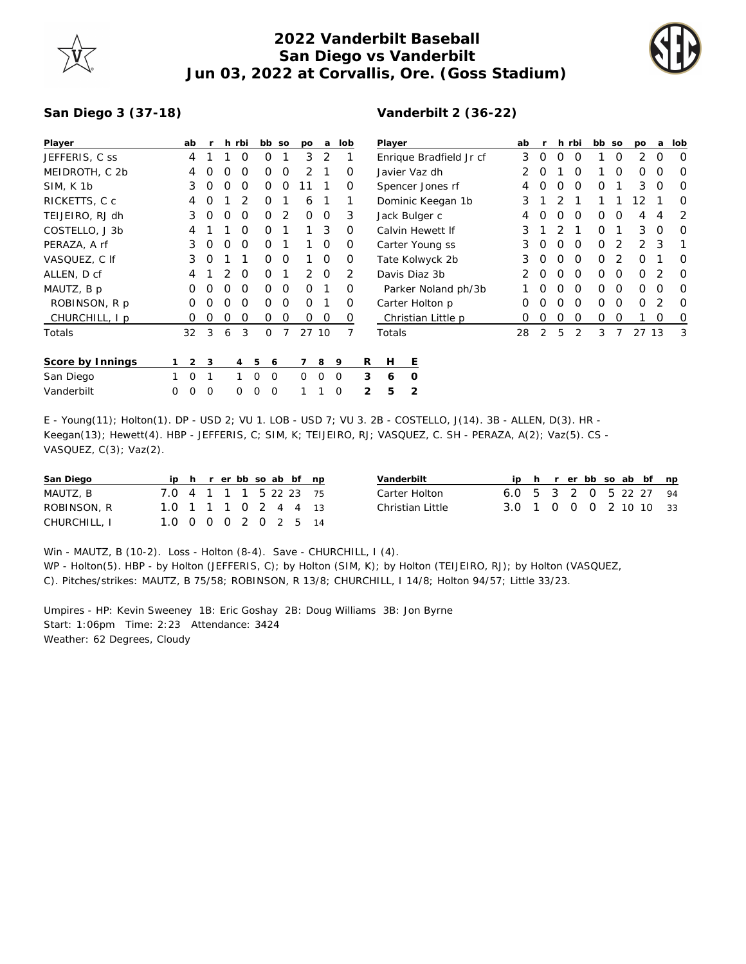

## **2022 Vanderbilt Baseball San Diego vs Vanderbilt Jun 03, 2022 at Corvallis, Ore. (Goss Stadium)**



## **San Diego 3 (37-18)**

## **Vanderbilt 2 (36-22)**

| Player           |   | ab             | $\mathsf{r}$ |   | h rbi          |                | bb so    | po       | a           |          | lob      |   | Player                  |          |  |   | ab |          |          | h rbi    | bb so    |   | po       | a        | lob      |
|------------------|---|----------------|--------------|---|----------------|----------------|----------|----------|-------------|----------|----------|---|-------------------------|----------|--|---|----|----------|----------|----------|----------|---|----------|----------|----------|
| JEFFERIS, C ss   |   | 4              |              |   | $\Omega$       | 0              |          | 3        | 2           |          |          |   | Enrique Bradfield Jr cf |          |  |   | 3  | $\circ$  | O        | $\Omega$ |          | 0 | 2        | O        | 0        |
| MEIDROTH, C 2b   |   | 4              | O            | O | O              | Ο              | 0        | 2        |             |          | O        |   | Javier Vaz dh           |          |  | O |    | O        |          | 0        | Ο        | O | $\Omega$ |          |          |
| SIM, K 1b        |   | 3              | O            | O | O              | Ο              | 0        |          |             |          | O        |   | Spencer Jones rf        |          |  |   |    | O        | O        | O        | 0        |   | 3        | $\Omega$ | 0        |
| RICKETTS, C c    |   | 4              | O            |   | 2              | 0              |          | 6        |             |          |          |   | Dominic Keegan 1b       |          |  |   | 3  |          | 2        |          |          |   | 12       |          | $\Omega$ |
| TEIJEIRO, RJ dh  |   | 3              | 0            | O | $\Omega$       | Ο              | 2        | $\Omega$ | 0           |          | 3        |   | Jack Bulger c           |          |  |   | 4  | O        | O        | $\Omega$ | 0        | 0 | 4        | 4        | 2        |
| COSTELLO, J 3b   |   | 4              |              |   | O              | 0              |          |          | 3           |          | $\Omega$ |   | Calvin Hewett If        |          |  |   | 3  |          | 2        |          | $\Omega$ |   | 3        | $\Omega$ | $\Omega$ |
| PERAZA, A rf     |   | 3              | O            | O | $\Omega$       | Ο              |          |          | 0           |          | $\Omega$ |   | Carter Young ss         |          |  |   | 3  | $\Omega$ | $\Omega$ | $\Omega$ | 0        | 2 | 2        | 3        | 1        |
| VASQUEZ, C If    |   | 3              | $\Omega$     |   |                | 0              | $\Omega$ |          | $\Omega$    |          | $\Omega$ |   | Tate Kolwyck 2b         |          |  |   | 3  | $\Omega$ | $\Omega$ | $\Omega$ | $\Omega$ | 2 | Ο        |          | $\Omega$ |
| ALLEN, D cf      |   | 4              |              | 2 | $\Omega$       | $\Omega$       |          | 2        | $\Omega$    |          | 2        |   | Davis Diaz 3b           |          |  |   | 2  | $\Omega$ | $\Omega$ | $\Omega$ | 0        | 0 | $\Omega$ | 2        | 0        |
| MAUTZ, B p       |   | 0              | O            | O | O              | $\Omega$       | $\Omega$ | $\Omega$ |             |          | $\Omega$ |   | Parker Noland ph/3b     |          |  |   |    | $\Omega$ | $\Omega$ | $\Omega$ | $\Omega$ | O | $\Omega$ | O        | $\Omega$ |
| ROBINSON, R p    |   | 0              | $\Omega$     | O | O              | $\Omega$       | O        | $\Omega$ |             |          | $\Omega$ |   | Carter Holton p         |          |  |   | O  | $\Omega$ | O        | $\Omega$ | $\Omega$ | 0 | O        | 2        | 0        |
| CHURCHILL, I p   |   | 0              | $\Omega$     | 0 | $\Omega$       | 0              | 0        | $\Omega$ | $\circ$     |          | $\Omega$ |   | Christian Little p      |          |  |   | Ο  | $\Omega$ | $\Omega$ | $\Omega$ | 0        | 0 |          | $\Omega$ | 0        |
| Totals           |   | 32             | 3            | 6 | 3              | 0              |          |          | 27 10       |          |          |   | Totals                  |          |  |   | 28 | 2        | 5        | 2        | 3        |   | 27 13    |          | 3        |
| Score by Innings |   | $\overline{2}$ | 3            |   | $\overline{4}$ | 5              | 6        |          | 8           | 9        |          | R | H                       | Ε        |  |   |    |          |          |          |          |   |          |          |          |
| San Diego        |   | $\mathbf 0$    | 1            |   |                | $\Omega$       | $\Omega$ | $\Omega$ | $\mathbf 0$ | $\Omega$ |          | 3 | 6                       | $\Omega$ |  |   |    |          |          |          |          |   |          |          |          |
| Vanderbilt       | 0 | $\mathbf 0$    | 0            |   | $\Omega$       | $\overline{0}$ | $\Omega$ |          |             | 0        |          | 2 | 5                       | 2        |  |   |    |          |          |          |          |   |          |          |          |

E - Young(11); Holton(1). DP - USD 2; VU 1. LOB - USD 7; VU 3. 2B - COSTELLO, J(14). 3B - ALLEN, D(3). HR - Keegan(13); Hewett(4). HBP - JEFFERIS, C; SIM, K; TEIJEIRO, RJ; VASQUEZ, C. SH - PERAZA, A(2); Vaz(5). CS - VASQUEZ, C(3); Vaz(2).

| San Diego    |                        |  |  |  | ip h r er bb so ab bf np | Vanderbilt       |                        |  |  |  | iph rerbbsoab bf np |  |
|--------------|------------------------|--|--|--|--------------------------|------------------|------------------------|--|--|--|---------------------|--|
| MAUTZ, B     | 7.0 4 1 1 1 5 22 23 75 |  |  |  |                          | Carter Holton    | 6.0 5 3 2 0 5 22 27 94 |  |  |  |                     |  |
| ROBINSON, R  | 1.0 1 1 1 0 2 4 4 13   |  |  |  |                          | Christian Little | 3.0 1 0 0 0 2 10 10 33 |  |  |  |                     |  |
| CHURCHILL, I | 1.0 0 0 0 2 0 2 5 14   |  |  |  |                          |                  |                        |  |  |  |                     |  |

Win - MAUTZ, B (10-2). Loss - Holton (8-4). Save - CHURCHILL, I (4). WP - Holton(5). HBP - by Holton (JEFFERIS, C); by Holton (SIM, K); by Holton (TEIJEIRO, RJ); by Holton (VASQUEZ, C). Pitches/strikes: MAUTZ, B 75/58; ROBINSON, R 13/8; CHURCHILL, I 14/8; Holton 94/57; Little 33/23.

Umpires - HP: Kevin Sweeney 1B: Eric Goshay 2B: Doug Williams 3B: Jon Byrne Start: 1:06pm Time: 2:23 Attendance: 3424 Weather: 62 Degrees, Cloudy